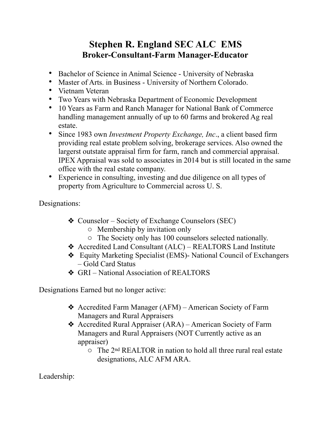## **Stephen R. England SEC ALC EMS Broker-Consultant-Farm Manager-Educator**

- Bachelor of Science in Animal Science University of Nebraska
- Master of Arts. in Business University of Northern Colorado.
- Vietnam Veteran
- Two Years with Nebraska Department of Economic Development
- 10 Years as Farm and Ranch Manager for National Bank of Commerce handling management annually of up to 60 farms and brokered Ag real estate.
- Since 1983 own *Investment Property Exchange, Inc*., a client based firm providing real estate problem solving, brokerage services. Also owned the largerst outstate appraisal firm for farm, ranch and commercial appraisal. IPEX Appraisal was sold to associates in 2014 but is still located in the same office with the real estate company.
- Experience in consulting, investing and due diligence on all types of property from Agriculture to Commercial across U. S.

Designations:

- ❖ Counselor Society of Exchange Counselors (SEC)
	- o Membership by invitation only
	- o The Society only has 100 counselors selected nationally.
- ❖ Accredited Land Consultant (ALC) REALTORS Land Institute
- ❖ Equity Marketing Specialist (EMS)- National Council of Exchangers – Gold Card Status
- ❖ GRI National Association of REALTORS

Designations Earned but no longer active:

- ❖ Accredited Farm Manager (AFM) American Society of Farm Managers and Rural Appraisers
- ❖ Accredited Rural Appraiser (ARA) American Society of Farm Managers and Rural Appraisers (NOT Currently active as an appraiser)
	- o The 2nd REALTOR in nation to hold all three rural real estate designations, ALC AFM ARA.

Leadership: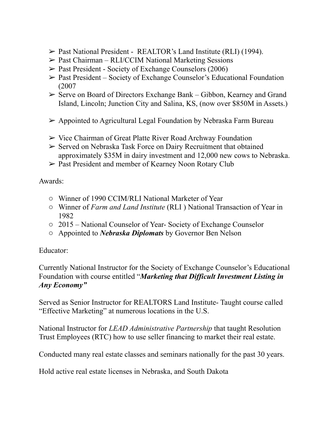- ➢ Past National President REALTOR's Land Institute (RLI) (1994).
- ➢ Past Chairman RLI/CCIM National Marketing Sessions
- $\triangleright$  Past President Society of Exchange Counselors (2006)
- ➢ Past President Society of Exchange Counselor's Educational Foundation (2007
- ➢ Serve on Board of Directors Exchange Bank Gibbon, Kearney and Grand Island, Lincoln; Junction City and Salina, KS, (now over \$850M in Assets.)
- $\triangleright$  Appointed to Agricultural Legal Foundation by Nebraska Farm Bureau
- ➢ Vice Chairman of Great Platte River Road Archway Foundation
- ➢ Served on Nebraska Task Force on Dairy Recruitment that obtained approximately \$35M in dairy investment and 12,000 new cows to Nebraska.
- ➢ Past President and member of Kearney Noon Rotary Club

Awards:

- o Winner of 1990 CCIM/RLI National Marketer of Year
- o Winner of *Farm and Land Institute* (RLI ) National Transaction of Year in 1982
- o 2015 National Counselor of Year- Society of Exchange Counselor
- o Appointed to *Nebraska Diplomats* by Governor Ben Nelson

Educator:

Currently National Instructor for the Society of Exchange Counselor's Educational Foundation with course entitled "*Marketing that Difficult Investment Listing in Any Economy"* 

Served as Senior Instructor for REALTORS Land Institute- Taught course called "Effective Marketing" at numerous locations in the U.S.

National Instructor for *LEAD Administrative Partnership* that taught Resolution Trust Employees (RTC) how to use seller financing to market their real estate.

Conducted many real estate classes and seminars nationally for the past 30 years.

Hold active real estate licenses in Nebraska, and South Dakota